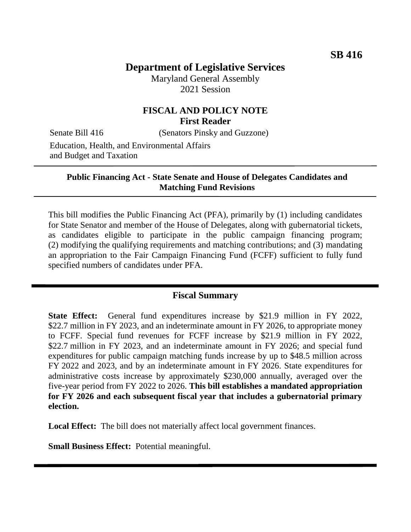# **Department of Legislative Services**

Maryland General Assembly 2021 Session

## **FISCAL AND POLICY NOTE First Reader**

Senate Bill 416 (Senators Pinsky and Guzzone)

Education, Health, and Environmental Affairs and Budget and Taxation

#### **Public Financing Act - State Senate and House of Delegates Candidates and Matching Fund Revisions**

This bill modifies the Public Financing Act (PFA), primarily by (1) including candidates for State Senator and member of the House of Delegates, along with gubernatorial tickets, as candidates eligible to participate in the public campaign financing program; (2) modifying the qualifying requirements and matching contributions; and (3) mandating an appropriation to the Fair Campaign Financing Fund (FCFF) sufficient to fully fund specified numbers of candidates under PFA.

### **Fiscal Summary**

**State Effect:** General fund expenditures increase by \$21.9 million in FY 2022, \$22.7 million in FY 2023, and an indeterminate amount in FY 2026, to appropriate money to FCFF. Special fund revenues for FCFF increase by \$21.9 million in FY 2022, \$22.7 million in FY 2023, and an indeterminate amount in FY 2026; and special fund expenditures for public campaign matching funds increase by up to \$48.5 million across FY 2022 and 2023, and by an indeterminate amount in FY 2026. State expenditures for administrative costs increase by approximately \$230,000 annually, averaged over the five-year period from FY 2022 to 2026. **This bill establishes a mandated appropriation for FY 2026 and each subsequent fiscal year that includes a gubernatorial primary election.**

**Local Effect:** The bill does not materially affect local government finances.

**Small Business Effect:** Potential meaningful.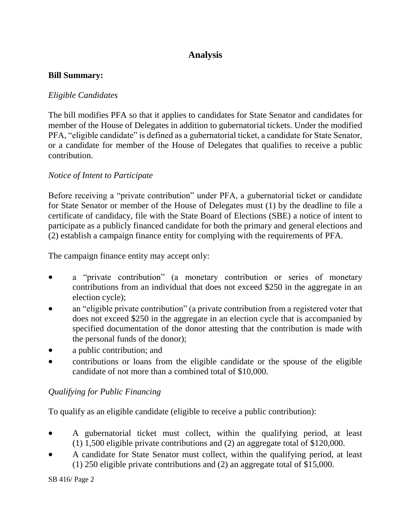# **Analysis**

#### **Bill Summary:**

### *Eligible Candidates*

The bill modifies PFA so that it applies to candidates for State Senator and candidates for member of the House of Delegates in addition to gubernatorial tickets. Under the modified PFA, "eligible candidate" is defined as a gubernatorial ticket, a candidate for State Senator, or a candidate for member of the House of Delegates that qualifies to receive a public contribution.

### *Notice of Intent to Participate*

Before receiving a "private contribution" under PFA, a gubernatorial ticket or candidate for State Senator or member of the House of Delegates must (1) by the deadline to file a certificate of candidacy, file with the State Board of Elections (SBE) a notice of intent to participate as a publicly financed candidate for both the primary and general elections and (2) establish a campaign finance entity for complying with the requirements of PFA.

The campaign finance entity may accept only:

- a "private contribution" (a monetary contribution or series of monetary contributions from an individual that does not exceed \$250 in the aggregate in an election cycle);
- an "eligible private contribution" (a private contribution from a registered voter that does not exceed \$250 in the aggregate in an election cycle that is accompanied by specified documentation of the donor attesting that the contribution is made with the personal funds of the donor);
- a public contribution; and
- contributions or loans from the eligible candidate or the spouse of the eligible candidate of not more than a combined total of \$10,000.

## *Qualifying for Public Financing*

To qualify as an eligible candidate (eligible to receive a public contribution):

- A gubernatorial ticket must collect, within the qualifying period, at least (1) 1,500 eligible private contributions and (2) an aggregate total of \$120,000.
- A candidate for State Senator must collect, within the qualifying period, at least (1) 250 eligible private contributions and (2) an aggregate total of \$15,000.

SB 416/ Page 2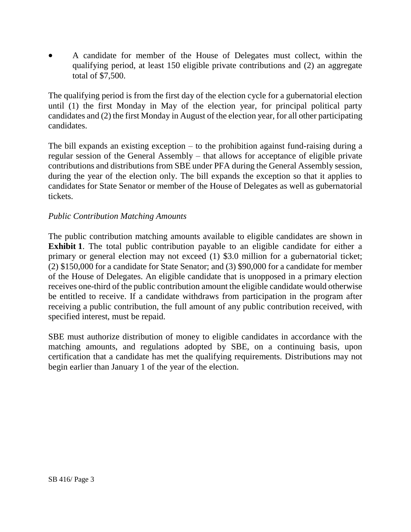A candidate for member of the House of Delegates must collect, within the qualifying period, at least 150 eligible private contributions and (2) an aggregate total of \$7,500.

The qualifying period is from the first day of the election cycle for a gubernatorial election until (1) the first Monday in May of the election year, for principal political party candidates and (2) the first Monday in August of the election year, for all other participating candidates.

The bill expands an existing exception – to the prohibition against fund-raising during a regular session of the General Assembly – that allows for acceptance of eligible private contributions and distributions from SBE under PFA during the General Assembly session, during the year of the election only. The bill expands the exception so that it applies to candidates for State Senator or member of the House of Delegates as well as gubernatorial tickets.

#### *Public Contribution Matching Amounts*

The public contribution matching amounts available to eligible candidates are shown in **Exhibit 1**. The total public contribution payable to an eligible candidate for either a primary or general election may not exceed (1) \$3.0 million for a gubernatorial ticket; (2) \$150,000 for a candidate for State Senator; and (3) \$90,000 for a candidate for member of the House of Delegates. An eligible candidate that is unopposed in a primary election receives one-third of the public contribution amount the eligible candidate would otherwise be entitled to receive. If a candidate withdraws from participation in the program after receiving a public contribution, the full amount of any public contribution received, with specified interest, must be repaid.

SBE must authorize distribution of money to eligible candidates in accordance with the matching amounts, and regulations adopted by SBE, on a continuing basis, upon certification that a candidate has met the qualifying requirements. Distributions may not begin earlier than January 1 of the year of the election.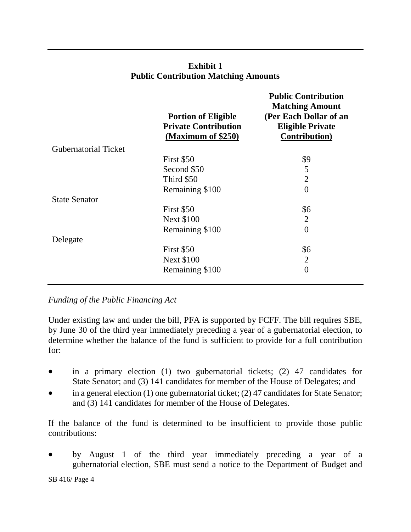|                             | <b>Portion of Eligible</b><br><b>Private Contribution</b><br>(Maximum of \$250) | <b>Public Contribution</b><br><b>Matching Amount</b><br>(Per Each Dollar of an<br><b>Eligible Private</b><br><b>Contribution</b> ) |
|-----------------------------|---------------------------------------------------------------------------------|------------------------------------------------------------------------------------------------------------------------------------|
| <b>Gubernatorial Ticket</b> |                                                                                 |                                                                                                                                    |
|                             | First \$50                                                                      | \$9                                                                                                                                |
|                             | Second \$50                                                                     | 5                                                                                                                                  |
|                             | Third \$50                                                                      | $\overline{2}$                                                                                                                     |
|                             | Remaining \$100                                                                 | $\overline{0}$                                                                                                                     |
| <b>State Senator</b>        |                                                                                 |                                                                                                                                    |
|                             | First \$50                                                                      | \$6                                                                                                                                |
|                             | <b>Next \$100</b>                                                               | $\overline{2}$                                                                                                                     |
|                             | Remaining \$100                                                                 | $\overline{0}$                                                                                                                     |
| Delegate                    |                                                                                 |                                                                                                                                    |
|                             | First \$50                                                                      | \$6                                                                                                                                |
|                             | <b>Next \$100</b>                                                               | $\overline{2}$                                                                                                                     |
|                             | Remaining \$100                                                                 | $\overline{0}$                                                                                                                     |
|                             |                                                                                 |                                                                                                                                    |

### **Exhibit 1 Public Contribution Matching Amounts**

*Funding of the Public Financing Act* 

Under existing law and under the bill, PFA is supported by FCFF. The bill requires SBE, by June 30 of the third year immediately preceding a year of a gubernatorial election, to determine whether the balance of the fund is sufficient to provide for a full contribution for:

- in a primary election (1) two gubernatorial tickets; (2) 47 candidates for State Senator; and (3) 141 candidates for member of the House of Delegates; and
- in a general election (1) one gubernatorial ticket; (2) 47 candidates for State Senator; and (3) 141 candidates for member of the House of Delegates.

If the balance of the fund is determined to be insufficient to provide those public contributions:

 by August 1 of the third year immediately preceding a year of a gubernatorial election, SBE must send a notice to the Department of Budget and

SB 416/ Page 4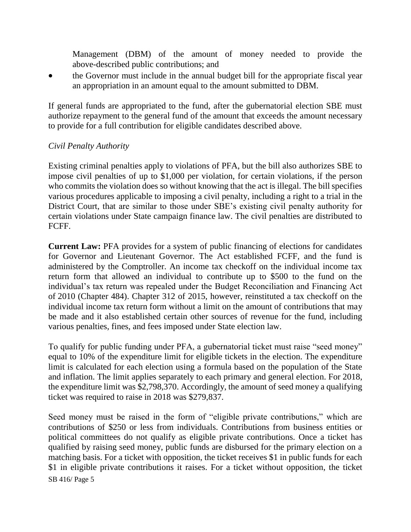Management (DBM) of the amount of money needed to provide the above-described public contributions; and

 the Governor must include in the annual budget bill for the appropriate fiscal year an appropriation in an amount equal to the amount submitted to DBM.

If general funds are appropriated to the fund, after the gubernatorial election SBE must authorize repayment to the general fund of the amount that exceeds the amount necessary to provide for a full contribution for eligible candidates described above.

### *Civil Penalty Authority*

Existing criminal penalties apply to violations of PFA, but the bill also authorizes SBE to impose civil penalties of up to \$1,000 per violation, for certain violations, if the person who commits the violation does so without knowing that the act is illegal. The bill specifies various procedures applicable to imposing a civil penalty, including a right to a trial in the District Court, that are similar to those under SBE's existing civil penalty authority for certain violations under State campaign finance law. The civil penalties are distributed to FCFF.

**Current Law:** PFA provides for a system of public financing of elections for candidates for Governor and Lieutenant Governor. The Act established FCFF, and the fund is administered by the Comptroller. An income tax checkoff on the individual income tax return form that allowed an individual to contribute up to \$500 to the fund on the individual's tax return was repealed under the Budget Reconciliation and Financing Act of 2010 (Chapter 484). Chapter 312 of 2015, however, reinstituted a tax checkoff on the individual income tax return form without a limit on the amount of contributions that may be made and it also established certain other sources of revenue for the fund, including various penalties, fines, and fees imposed under State election law.

To qualify for public funding under PFA, a gubernatorial ticket must raise "seed money" equal to 10% of the expenditure limit for eligible tickets in the election. The expenditure limit is calculated for each election using a formula based on the population of the State and inflation. The limit applies separately to each primary and general election. For 2018, the expenditure limit was \$2,798,370. Accordingly, the amount of seed money a qualifying ticket was required to raise in 2018 was \$279,837.

SB 416/ Page 5 Seed money must be raised in the form of "eligible private contributions," which are contributions of \$250 or less from individuals. Contributions from business entities or political committees do not qualify as eligible private contributions. Once a ticket has qualified by raising seed money, public funds are disbursed for the primary election on a matching basis. For a ticket with opposition, the ticket receives \$1 in public funds for each \$1 in eligible private contributions it raises. For a ticket without opposition, the ticket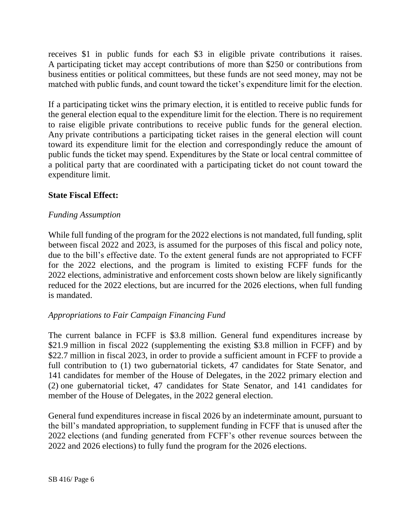receives \$1 in public funds for each \$3 in eligible private contributions it raises. A participating ticket may accept contributions of more than \$250 or contributions from business entities or political committees, but these funds are not seed money, may not be matched with public funds, and count toward the ticket's expenditure limit for the election.

If a participating ticket wins the primary election, it is entitled to receive public funds for the general election equal to the expenditure limit for the election. There is no requirement to raise eligible private contributions to receive public funds for the general election. Any private contributions a participating ticket raises in the general election will count toward its expenditure limit for the election and correspondingly reduce the amount of public funds the ticket may spend. Expenditures by the State or local central committee of a political party that are coordinated with a participating ticket do not count toward the expenditure limit.

### **State Fiscal Effect:**

### *Funding Assumption*

While full funding of the program for the 2022 elections is not mandated, full funding, split between fiscal 2022 and 2023, is assumed for the purposes of this fiscal and policy note, due to the bill's effective date. To the extent general funds are not appropriated to FCFF for the 2022 elections, and the program is limited to existing FCFF funds for the 2022 elections, administrative and enforcement costs shown below are likely significantly reduced for the 2022 elections, but are incurred for the 2026 elections, when full funding is mandated.

### *Appropriations to Fair Campaign Financing Fund*

The current balance in FCFF is \$3.8 million. General fund expenditures increase by \$21.9 million in fiscal 2022 (supplementing the existing \$3.8 million in FCFF) and by \$22.7 million in fiscal 2023, in order to provide a sufficient amount in FCFF to provide a full contribution to (1) two gubernatorial tickets, 47 candidates for State Senator, and 141 candidates for member of the House of Delegates, in the 2022 primary election and (2) one gubernatorial ticket, 47 candidates for State Senator, and 141 candidates for member of the House of Delegates, in the 2022 general election.

General fund expenditures increase in fiscal 2026 by an indeterminate amount, pursuant to the bill's mandated appropriation, to supplement funding in FCFF that is unused after the 2022 elections (and funding generated from FCFF's other revenue sources between the 2022 and 2026 elections) to fully fund the program for the 2026 elections.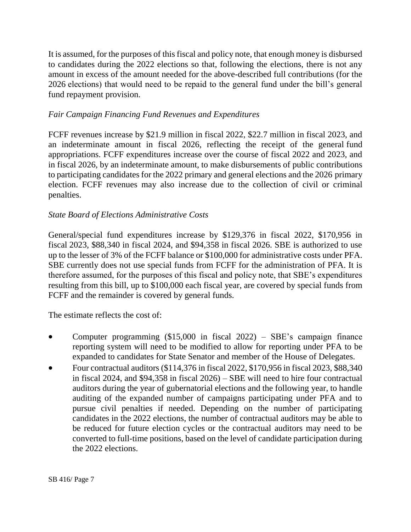It is assumed, for the purposes of this fiscal and policy note, that enough money is disbursed to candidates during the 2022 elections so that, following the elections, there is not any amount in excess of the amount needed for the above-described full contributions (for the 2026 elections) that would need to be repaid to the general fund under the bill's general fund repayment provision.

### *Fair Campaign Financing Fund Revenues and Expenditures*

FCFF revenues increase by \$21.9 million in fiscal 2022, \$22.7 million in fiscal 2023, and an indeterminate amount in fiscal 2026, reflecting the receipt of the general fund appropriations. FCFF expenditures increase over the course of fiscal 2022 and 2023, and in fiscal 2026, by an indeterminate amount, to make disbursements of public contributions to participating candidates for the 2022 primary and general elections and the 2026 primary election. FCFF revenues may also increase due to the collection of civil or criminal penalties.

### *State Board of Elections Administrative Costs*

General/special fund expenditures increase by \$129,376 in fiscal 2022, \$170,956 in fiscal 2023, \$88,340 in fiscal 2024, and \$94,358 in fiscal 2026. SBE is authorized to use up to the lesser of 3% of the FCFF balance or \$100,000 for administrative costs under PFA. SBE currently does not use special funds from FCFF for the administration of PFA. It is therefore assumed, for the purposes of this fiscal and policy note, that SBE's expenditures resulting from this bill, up to \$100,000 each fiscal year, are covered by special funds from FCFF and the remainder is covered by general funds.

The estimate reflects the cost of:

- Computer programming (\$15,000 in fiscal 2022) SBE's campaign finance reporting system will need to be modified to allow for reporting under PFA to be expanded to candidates for State Senator and member of the House of Delegates.
- Four contractual auditors (\$114,376 in fiscal 2022, \$170,956 in fiscal 2023, \$88,340 in fiscal 2024, and \$94,358 in fiscal 2026) – SBE will need to hire four contractual auditors during the year of gubernatorial elections and the following year, to handle auditing of the expanded number of campaigns participating under PFA and to pursue civil penalties if needed. Depending on the number of participating candidates in the 2022 elections, the number of contractual auditors may be able to be reduced for future election cycles or the contractual auditors may need to be converted to full-time positions, based on the level of candidate participation during the 2022 elections.